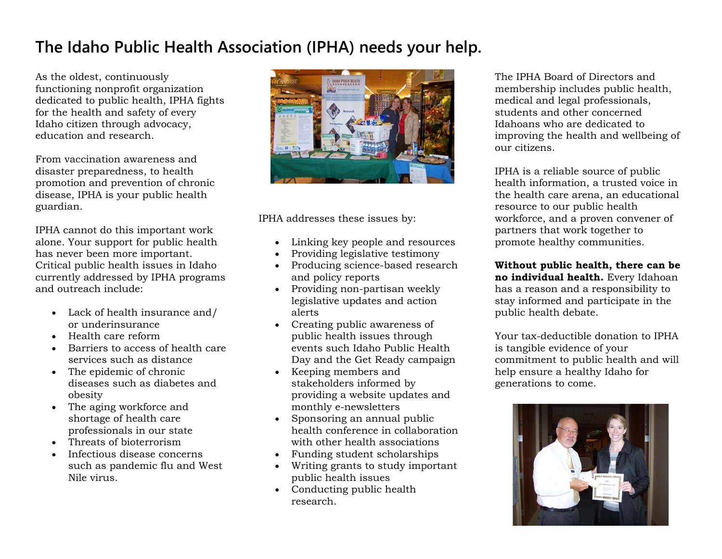## **The Idaho Public Health Association (IPHA) needs your help.**

As the oldest, continuously functioning nonprofit organization dedicated to public health, IPHA fights for the health and safety of every Idaho citizen through advocacy, education and research.

From vaccination awareness and disaster preparedness, to health promotion and prevention of chronic disease, IPHA is your public health guardian.

IPHA cannot do this important work alone. Your support for public health has never been more important. Critical public health issues in Idaho currently addressed by IPHA programs and outreach include:

- Lack of health insurance and/ or underinsurance
- $\bullet$  Health care reform
- Barriers to access of health care services such as distance
- The epidemic of chronic diseases such as diabetes and obesity
- The aging workforce and shortage of health care professionals in our state
- Threats of bioterrorism
- $\bullet$  Infectious disease concerns such as pandemic flu and West Nile virus.



IPHA addresses these issues by:

- Linking key people and resources
- $\bullet$ Providing legislative testimony
- $\bullet$  Producing science-based research and policy reports
- Providing non-partisan weekly legislative updates and action alerts
- Creating public awareness of public health issues through events such Idaho Public Health Day and the Get Ready campaign
- Keeping members and stakeholders informed by providing a website updates and monthly e-newsletters
- Sponsoring an annual public health conference in collaboration with other health associations
- Funding student scholarships
- Writing grants to study important public health issues
- Conducting public health research.

The IPHA Board of Directors and membership includes public health, medical and legal professionals, students and other concerned Idahoans who are dedicated to improving the health and wellbeing of our citizens.

IPHA is a reliable source of public health information, a trusted voice in the health care arena, an educational resource to our public health workforce, and a proven convener of partners that work together to promote healthy communities.

**Without public health, there can be no individual health.** Every Idahoan has a reason and a responsibility to stay informed and participate in the public health debate.

Your tax-deductible donation to IPHA is tangible evidence of your commitment to public health and will help ensure a healthy Idaho for generations to come.